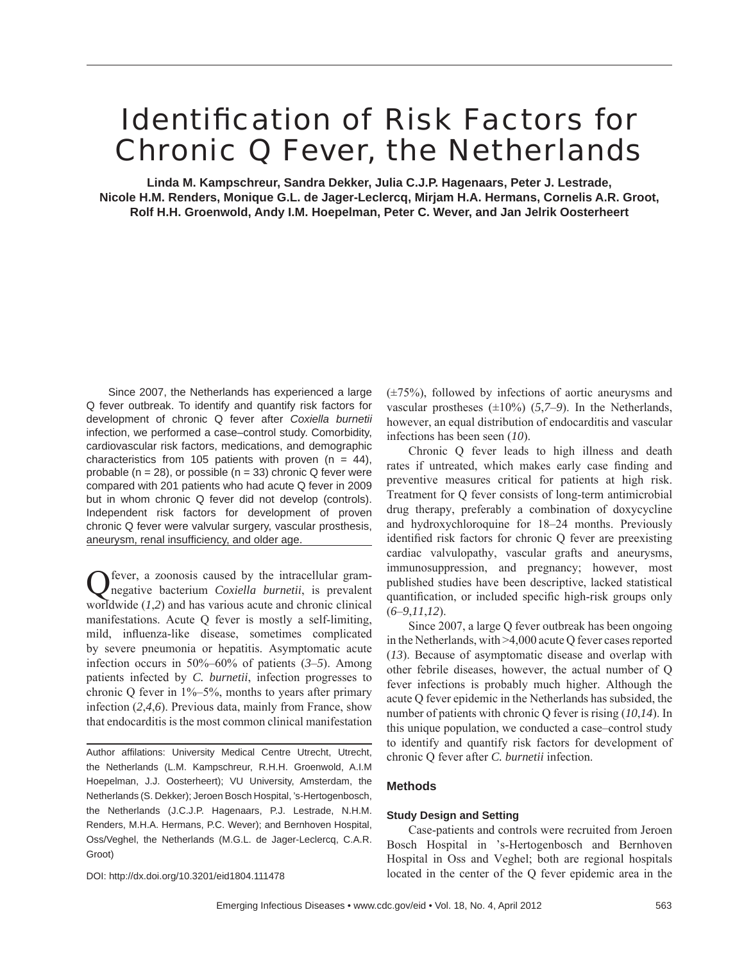# **Identification of Risk Factors for** Chronic Q Fever, the Netherlands

**Linda M. Kampschreur, Sandra Dekker, Julia C.J.P. Hagenaars, Peter J. Lestrade, Nicole H.M. Renders, Monique G.L. de Jager-Leclercq, Mirjam H.A. Hermans, Cornelis A.R. Groot, Rolf H.H. Groenwold, Andy I.M. Hoepelman, Peter C. Wever, and Jan Jelrik Oosterheert**

Since 2007, the Netherlands has experienced a large Q fever outbreak. To identify and quantify risk factors for development of chronic Q fever after *Coxiella burnetii* infection, we performed a case–control study. Comorbidity, cardiovascular risk factors, medications, and demographic characteristics from 105 patients with proven  $(n = 44)$ , probable ( $n = 28$ ), or possible ( $n = 33$ ) chronic Q fever were compared with 201 patients who had acute Q fever in 2009 but in whom chronic Q fever did not develop (controls). Independent risk factors for development of proven chronic Q fever were valvular surgery, vascular prosthesis, aneurysm, renal insufficiency, and older age.

fever, a zoonosis caused by the intracellular gramnegative bacterium *Coxiella burnetii*, is prevalent worldwide (*1*,*2*) and has various acute and chronic clinical manifestations. Acute Q fever is mostly a self-limiting, mild, influenza-like disease, sometimes complicated by severe pneumonia or hepatitis. Asymptomatic acute infection occurs in 50%–60% of patients (*3*–*5*). Among patients infected by *C. burnetii*, infection progresses to chronic O fever in  $1\% - 5\%$ , months to years after primary infection (*2*,*4*,*6*). Previous data, mainly from France, show that endocarditis is the most common clinical manifestation

Author affilations: University Medical Centre Utrecht, Utrecht, the Netherlands (L.M. Kampschreur, R.H.H. Groenwold, A.I.M Hoepelman, J.J. Oosterheert); VU University, Amsterdam, the Netherlands (S. Dekker); Jeroen Bosch Hospital, 's-Hertogenbosch, the Netherlands (J.C.J.P. Hagenaars, P.J. Lestrade, N.H.M. Renders, M.H.A. Hermans, P.C. Wever); and Bernhoven Hospital, Oss/Veghel, the Netherlands (M.G.L. de Jager-Leclercq, C.A.R. Groot)

DOI: http://dx.doi.org/10.3201/eid1804.111478

 $(\pm 75\%)$ , followed by infections of aortic aneurysms and vascular prostheses  $(\pm 10\%)$  (5,7–9). In the Netherlands, however, an equal distribution of endocarditis and vascular infections has been seen (*10*).

Chronic Q fever leads to high illness and death rates if untreated, which makes early case finding and preventive measures critical for patients at high risk. Treatment for Q fever consists of long-term antimicrobial drug therapy, preferably a combination of doxycycline and hydroxychloroquine for 18–24 months. Previously identified risk factors for chronic O fever are preexisting cardiac valvulopathy, vascular grafts and aneurysms, immunosuppression, and pregnancy; however, most published studies have been descriptive, lacked statistical quantification, or included specific high-risk groups only (*6*–*9*,*11*,*12*).

Since 2007, a large Q fever outbreak has been ongoing in the Netherlands, with >4,000 acute Q fever cases reported (*13*). Because of asymptomatic disease and overlap with other febrile diseases, however, the actual number of Q fever infections is probably much higher. Although the acute Q fever epidemic in the Netherlands has subsided, the number of patients with chronic Q fever is rising (*10*,*14*). In this unique population, we conducted a case–control study to identify and quantify risk factors for development of chronic Q fever after *C. burnetii* infection.

#### **Methods**

#### **Study Design and Setting**

Case-patients and controls were recruited from Jeroen Bosch Hospital in 's-Hertogenbosch and Bernhoven Hospital in Oss and Veghel; both are regional hospitals located in the center of the Q fever epidemic area in the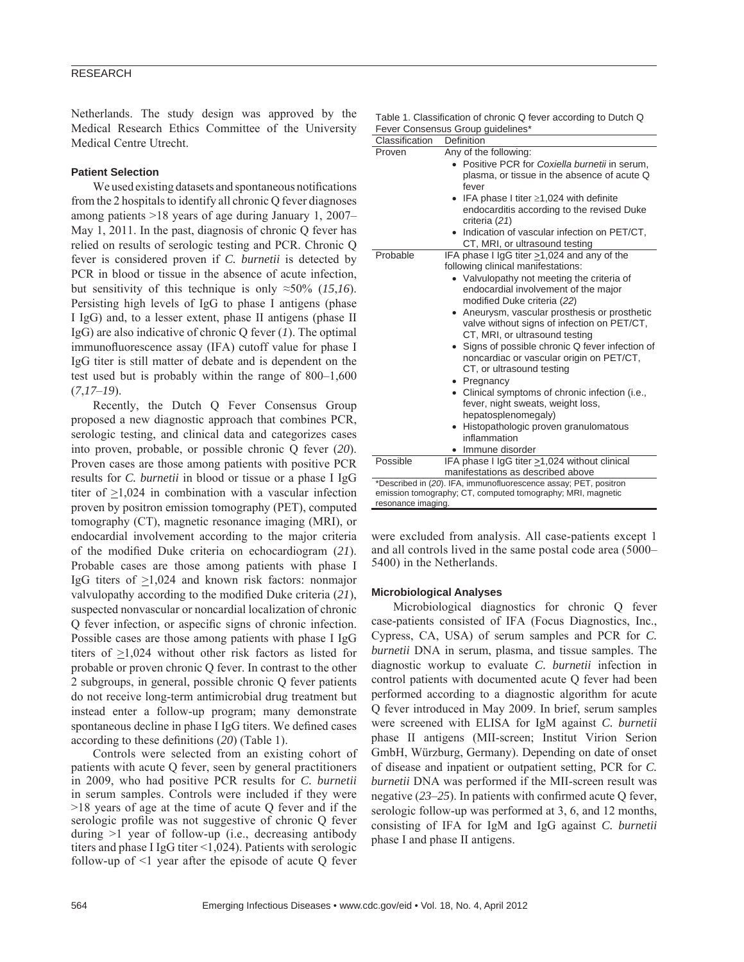Netherlands. The study design was approved by the Medical Research Ethics Committee of the University Medical Centre Utrecht.

#### **Patient Selection**

We used existing datasets and spontaneous notifications from the 2 hospitals to identify all chronic Q fever diagnoses among patients >18 years of age during January 1, 2007– May 1, 2011. In the past, diagnosis of chronic O fever has relied on results of serologic testing and PCR. Chronic Q fever is considered proven if *C. burnetii* is detected by PCR in blood or tissue in the absence of acute infection, but sensitivity of this technique is only  $\approx 50\%$  (15,16). Persisting high levels of IgG to phase I antigens (phase I IgG) and, to a lesser extent, phase II antigens (phase II IgG) are also indicative of chronic Q fever (*1*). The optimal immunofluorescence assay (IFA) cutoff value for phase I IgG titer is still matter of debate and is dependent on the test used but is probably within the range of 800–1,600 (*7*,*17*–*19*).

Recently, the Dutch Q Fever Consensus Group proposed a new diagnostic approach that combines PCR, serologic testing, and clinical data and categorizes cases into proven, probable, or possible chronic Q fever (*20*). Proven cases are those among patients with positive PCR results for *C. burnetii* in blood or tissue or a phase I IgG titer of >1,024 in combination with a vascular infection proven by positron emission tomography (PET), computed tomography (CT), magnetic resonance imaging (MRI), or endocardial involvement according to the major criteria of the modified Duke criteria on echocardiogram (21). Probable cases are those among patients with phase I IgG titers of >1,024 and known risk factors: nonmajor valvulopathy according to the modified Duke criteria (21), suspected nonvascular or noncardial localization of chronic O fever infection, or aspecific signs of chronic infection. Possible cases are those among patients with phase I IgG titers of >1,024 without other risk factors as listed for probable or proven chronic Q fever. In contrast to the other 2 subgroups, in general, possible chronic Q fever patients do not receive long-term antimicrobial drug treatment but instead enter a follow-up program; many demonstrate spontaneous decline in phase I IgG titers. We defined cases according to these definitions (20) (Table 1).

Controls were selected from an existing cohort of patients with acute Q fever, seen by general practitioners in 2009, who had positive PCR results for *C. burnetii* in serum samples. Controls were included if they were >18 years of age at the time of acute Q fever and if the serologic profile was not suggestive of chronic Q fever during >1 year of follow-up (i.e., decreasing antibody titers and phase I IgG titer <1,024). Patients with serologic follow-up of <1 year after the episode of acute Q fever

|                                   | Table 1. Classification of chronic Q fever according to Dutch Q |  |
|-----------------------------------|-----------------------------------------------------------------|--|
| Fever Consensus Group guidelines* |                                                                 |  |

| Classification     | Definition                                                                                                                                                                                                                                                                                                                                                                                                                                                                                                                                                                                                                                                                   |
|--------------------|------------------------------------------------------------------------------------------------------------------------------------------------------------------------------------------------------------------------------------------------------------------------------------------------------------------------------------------------------------------------------------------------------------------------------------------------------------------------------------------------------------------------------------------------------------------------------------------------------------------------------------------------------------------------------|
| Proven             | Any of the following:<br>Positive PCR for Coxiella burnetii in serum,<br>plasma, or tissue in the absence of acute Q<br>fever<br>IFA phase I titer $\geq$ 1,024 with definite<br>endocarditis according to the revised Duke<br>criteria (21)<br>• Indication of vascular infection on PET/CT,<br>CT, MRI, or ultrasound testing                                                                                                                                                                                                                                                                                                                                              |
| Probable           | IFA phase I IgG titer >1,024 and any of the<br>following clinical manifestations:<br>• Valvulopathy not meeting the criteria of<br>endocardial involvement of the major<br>modified Duke criteria (22)<br>Aneurysm, vascular prosthesis or prosthetic<br>valve without signs of infection on PET/CT,<br>CT, MRI, or ultrasound testing<br>• Signs of possible chronic Q fever infection of<br>noncardiac or vascular origin on PET/CT,<br>CT, or ultrasound testing<br>• Pregnancy<br>• Clinical symptoms of chronic infection (i.e.,<br>fever, night sweats, weight loss,<br>hepatosplenomegaly)<br>Histopathologic proven granulomatous<br>inflammation<br>Immune disorder |
| Possible           | IFA phase I IgG titer >1,024 without clinical                                                                                                                                                                                                                                                                                                                                                                                                                                                                                                                                                                                                                                |
|                    | manifestations as described above                                                                                                                                                                                                                                                                                                                                                                                                                                                                                                                                                                                                                                            |
| resonance imaging. | *Described in (20). IFA, immunofluorescence assay; PET, positron<br>emission tomography; CT, computed tomography; MRI, magnetic                                                                                                                                                                                                                                                                                                                                                                                                                                                                                                                                              |

were excluded from analysis. All case-patients except 1 and all controls lived in the same postal code area (5000– 5400) in the Netherlands.

#### **Microbiological Analyses**

Microbiological diagnostics for chronic Q fever case-patients consisted of IFA (Focus Diagnostics, Inc., Cypress, CA, USA) of serum samples and PCR for *C. burnetii* DNA in serum, plasma, and tissue samples. The diagnostic workup to evaluate *C. burnetii* infection in control patients with documented acute Q fever had been performed according to a diagnostic algorithm for acute Q fever introduced in May 2009. In brief, serum samples were screened with ELISA for IgM against *C. burnetii* phase II antigens (MII-screen; Institut Virion Serion GmbH, Würzburg, Germany). Depending on date of onset of disease and inpatient or outpatient setting, PCR for *C. burnetii* DNA was performed if the MII-screen result was negative  $(23-25)$ . In patients with confirmed acute O fever, serologic follow-up was performed at 3, 6, and 12 months, consisting of IFA for IgM and IgG against *C. burnetii* phase I and phase II antigens.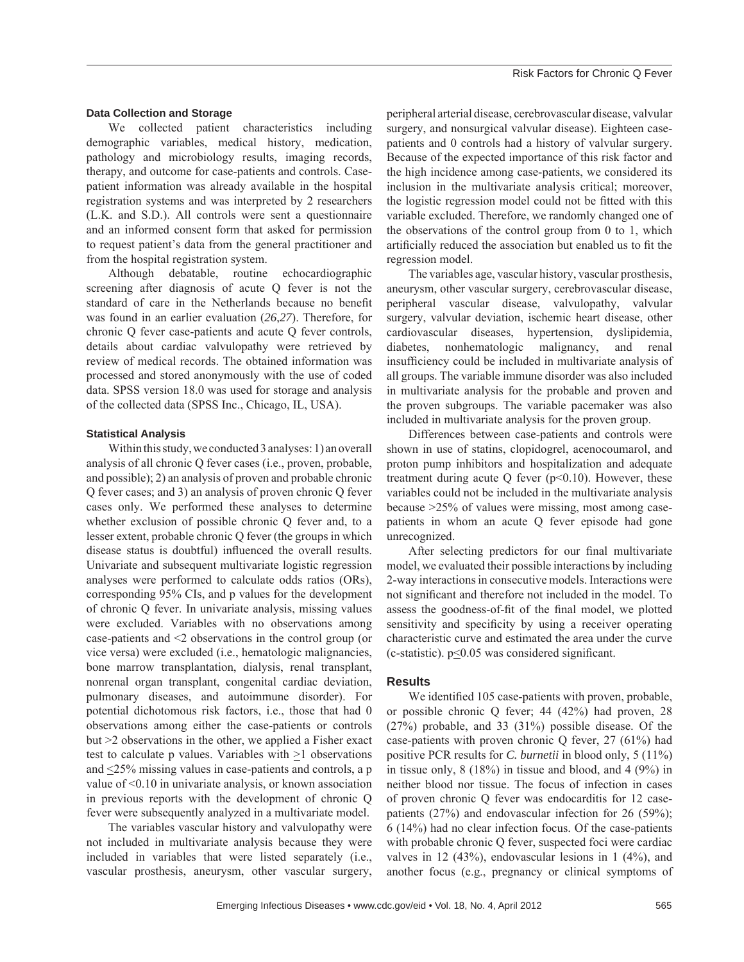#### **Data Collection and Storage**

We collected patient characteristics including demographic variables, medical history, medication, pathology and microbiology results, imaging records, therapy, and outcome for case-patients and controls. Casepatient information was already available in the hospital registration systems and was interpreted by 2 researchers (L.K. and S.D.). All controls were sent a questionnaire and an informed consent form that asked for permission to request patient's data from the general practitioner and from the hospital registration system.

Although debatable, routine echocardiographic screening after diagnosis of acute Q fever is not the standard of care in the Netherlands because no benefit was found in an earlier evaluation (*26*,*27*). Therefore, for chronic Q fever case-patients and acute Q fever controls, details about cardiac valvulopathy were retrieved by review of medical records. The obtained information was processed and stored anonymously with the use of coded data. SPSS version 18.0 was used for storage and analysis of the collected data (SPSS Inc., Chicago, IL, USA).

#### **Statistical Analysis**

Within this study, we conducted 3 analyses: 1) an overall analysis of all chronic Q fever cases (i.e., proven, probable, and possible); 2) an analysis of proven and probable chronic Q fever cases; and 3) an analysis of proven chronic Q fever cases only. We performed these analyses to determine whether exclusion of possible chronic Q fever and, to a lesser extent, probable chronic Q fever (the groups in which disease status is doubtful) influenced the overall results. Univariate and subsequent multivariate logistic regression analyses were performed to calculate odds ratios (ORs), corresponding 95% CIs, and p values for the development of chronic Q fever. In univariate analysis, missing values were excluded. Variables with no observations among case-patients and <2 observations in the control group (or vice versa) were excluded (i.e., hematologic malignancies, bone marrow transplantation, dialysis, renal transplant, nonrenal organ transplant, congenital cardiac deviation, pulmonary diseases, and autoimmune disorder). For potential dichotomous risk factors, i.e., those that had 0 observations among either the case-patients or controls but >2 observations in the other, we applied a Fisher exact test to calculate p values. Variables with  $\geq 1$  observations and  $\leq$ 25% missing values in case-patients and controls, a p value of <0.10 in univariate analysis, or known association in previous reports with the development of chronic Q fever were subsequently analyzed in a multivariate model.

The variables vascular history and valvulopathy were not included in multivariate analysis because they were included in variables that were listed separately (i.e., vascular prosthesis, aneurysm, other vascular surgery,

peripheral arterial disease, cerebrovascular disease, valvular surgery, and nonsurgical valvular disease). Eighteen casepatients and 0 controls had a history of valvular surgery. Because of the expected importance of this risk factor and the high incidence among case-patients, we considered its inclusion in the multivariate analysis critical; moreover, the logistic regression model could not be fitted with this variable excluded. Therefore, we randomly changed one of the observations of the control group from 0 to 1, which artificially reduced the association but enabled us to fit the regression model.

The variables age, vascular history, vascular prosthesis, aneurysm, other vascular surgery, cerebrovascular disease, peripheral vascular disease, valvulopathy, valvular surgery, valvular deviation, ischemic heart disease, other cardiovascular diseases, hypertension, dyslipidemia, diabetes, nonhematologic malignancy, and renal insufficiency could be included in multivariate analysis of all groups. The variable immune disorder was also included in multivariate analysis for the probable and proven and the proven subgroups. The variable pacemaker was also included in multivariate analysis for the proven group.

Differences between case-patients and controls were shown in use of statins, clopidogrel, acenocoumarol, and proton pump inhibitors and hospitalization and adequate treatment during acute Q fever  $(p<0.10)$ . However, these variables could not be included in the multivariate analysis because >25% of values were missing, most among casepatients in whom an acute Q fever episode had gone unrecognized.

After selecting predictors for our final multivariate model, we evaluated their possible interactions by including 2-way interactions in consecutive models. Interactions were not significant and therefore not included in the model. To assess the goodness-of-fit of the final model, we plotted sensitivity and specificity by using a receiver operating characteristic curve and estimated the area under the curve  $(c$ -statistic).  $p<0.05$  was considered significant.

#### **Results**

We identified 105 case-patients with proven, probable, or possible chronic Q fever; 44 (42%) had proven, 28 (27%) probable, and 33 (31%) possible disease. Of the case-patients with proven chronic Q fever, 27 (61%) had positive PCR results for *C. burnetii* in blood only, 5 (11%) in tissue only, 8 (18%) in tissue and blood, and 4 (9%) in neither blood nor tissue. The focus of infection in cases of proven chronic Q fever was endocarditis for 12 casepatients (27%) and endovascular infection for 26 (59%); 6 (14%) had no clear infection focus. Of the case-patients with probable chronic Q fever, suspected foci were cardiac valves in 12 (43%), endovascular lesions in 1 (4%), and another focus (e.g., pregnancy or clinical symptoms of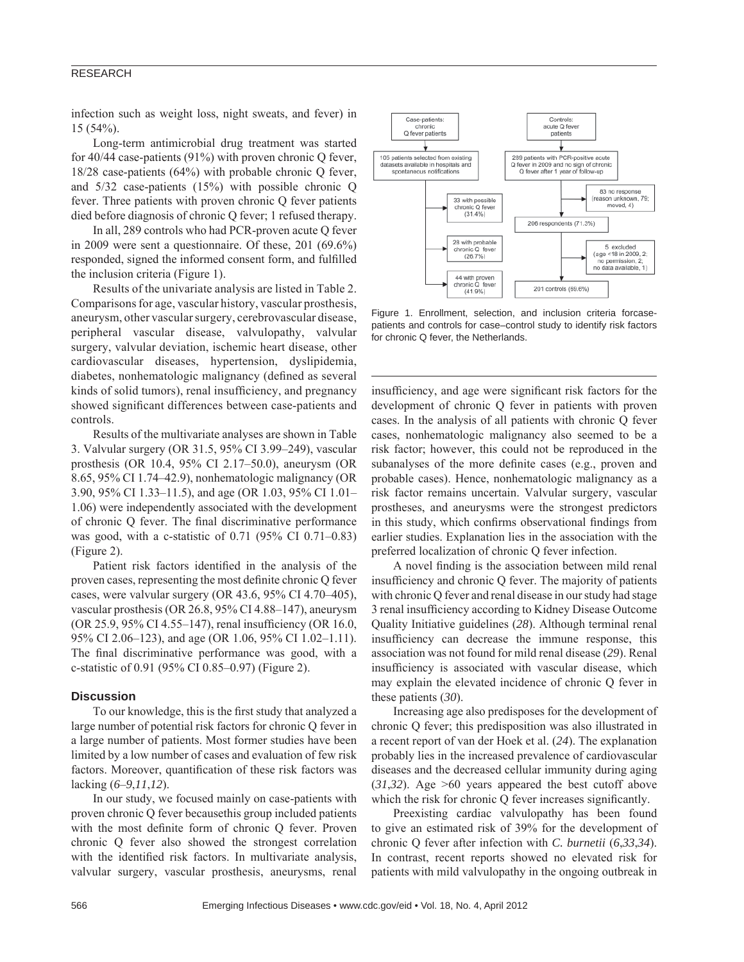infection such as weight loss, night sweats, and fever) in 15 (54%).

Long-term antimicrobial drug treatment was started for 40/44 case-patients (91%) with proven chronic Q fever, 18/28 case-patients (64%) with probable chronic Q fever, and 5/32 case-patients (15%) with possible chronic Q fever. Three patients with proven chronic Q fever patients died before diagnosis of chronic Q fever; 1 refused therapy.

In all, 289 controls who had PCR-proven acute Q fever in 2009 were sent a questionnaire. Of these, 201 (69.6%) responded, signed the informed consent form, and fulfilled the inclusion criteria (Figure 1).

Results of the univariate analysis are listed in Table 2. Comparisons for age, vascular history, vascular prosthesis, aneurysm, other vascular surgery, cerebrovascular disease, peripheral vascular disease, valvulopathy, valvular surgery, valvular deviation, ischemic heart disease, other cardiovascular diseases, hypertension, dyslipidemia, diabetes, nonhematologic malignancy (defined as several kinds of solid tumors), renal insufficiency, and pregnancy showed significant differences between case-patients and controls.

Results of the multivariate analyses are shown in Table 3. Valvular surgery (OR 31.5, 95% CI 3.99–249), vascular prosthesis (OR 10.4, 95% CI 2.17–50.0), aneurysm (OR 8.65, 95% CI 1.74–42.9), nonhematologic malignancy (OR 3.90, 95% CI 1.33–11.5), and age (OR 1.03, 95% CI 1.01– 1.06) were independently associated with the development of chronic Q fever. The final discriminative performance was good, with a c-statistic of 0.71 (95% CI 0.71–0.83) (Figure 2).

Patient risk factors identified in the analysis of the proven cases, representing the most definite chronic Q fever cases, were valvular surgery (OR 43.6, 95% CI 4.70–405), vascular prosthesis (OR 26.8, 95% CI 4.88–147), aneurysm (OR 25.9, 95% CI 4.55–147), renal insufficiency (OR 16.0, 95% CI 2.06–123), and age (OR 1.06, 95% CI 1.02–1.11). The final discriminative performance was good, with a c-statistic of 0.91 (95% CI 0.85–0.97) (Figure 2).

#### **Discussion**

To our knowledge, this is the first study that analyzed a large number of potential risk factors for chronic Q fever in a large number of patients. Most former studies have been limited by a low number of cases and evaluation of few risk factors. Moreover, quantification of these risk factors was lacking (*6*–*9*,*11*,*12*).

In our study, we focused mainly on case-patients with proven chronic Q fever becausethis group included patients with the most definite form of chronic Q fever. Proven chronic Q fever also showed the strongest correlation with the identified risk factors. In multivariate analysis, valvular surgery, vascular prosthesis, aneurysms, renal



Figure 1. Enrollment, selection, and inclusion criteria forcasepatients and controls for case–control study to identify risk factors for chronic Q fever, the Netherlands.

insufficiency, and age were significant risk factors for the development of chronic Q fever in patients with proven cases. In the analysis of all patients with chronic Q fever cases, nonhematologic malignancy also seemed to be a risk factor; however, this could not be reproduced in the subanalyses of the more definite cases (e.g., proven and probable cases). Hence, nonhematologic malignancy as a risk factor remains uncertain. Valvular surgery, vascular prostheses, and aneurysms were the strongest predictors in this study, which confirms observational findings from earlier studies. Explanation lies in the association with the preferred localization of chronic Q fever infection.

A novel finding is the association between mild renal insufficiency and chronic Q fever. The majority of patients with chronic Q fever and renal disease in our study had stage 3 renal insufficiency according to Kidney Disease Outcome Quality Initiative guidelines (*28*). Although terminal renal insufficiency can decrease the immune response, this association was not found for mild renal disease (*29*). Renal insufficiency is associated with vascular disease, which may explain the elevated incidence of chronic Q fever in these patients (*30*).

Increasing age also predisposes for the development of chronic Q fever; this predisposition was also illustrated in a recent report of van der Hoek et al. (*24*). The explanation probably lies in the increased prevalence of cardiovascular diseases and the decreased cellular immunity during aging (*31*,*32*). Age >60 years appeared the best cutoff above which the risk for chronic  $Q$  fever increases significantly.

Preexisting cardiac valvulopathy has been found to give an estimated risk of 39% for the development of chronic Q fever after infection with *C. burnetii* (*6*,*33*,*34*). In contrast, recent reports showed no elevated risk for patients with mild valvulopathy in the ongoing outbreak in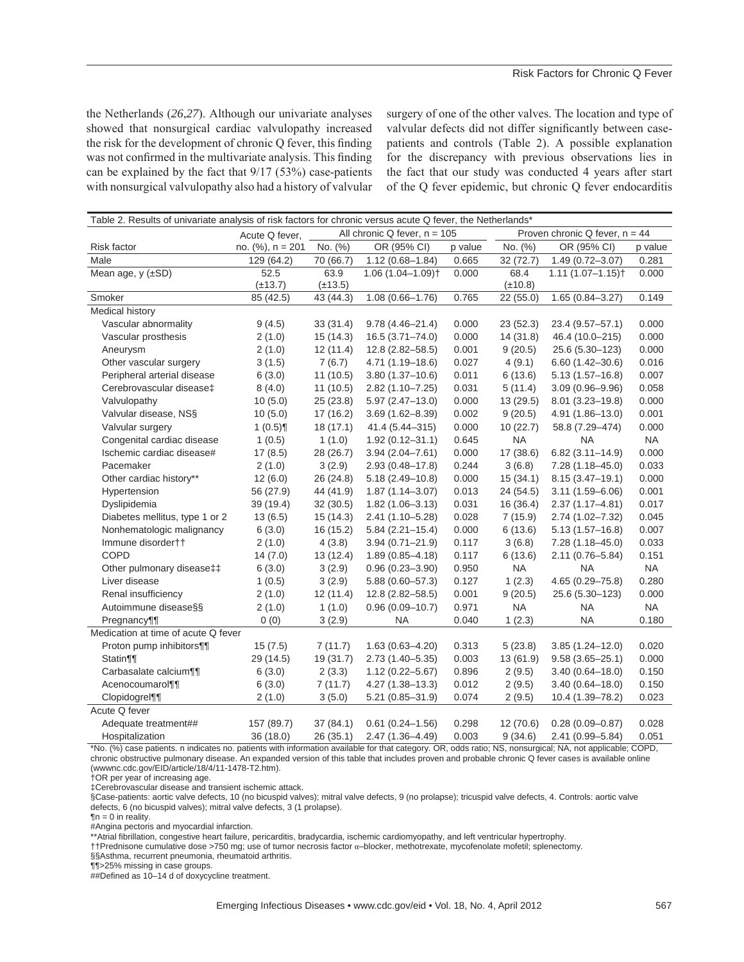the Netherlands (*26*,*27*). Although our univariate analyses showed that nonsurgical cardiac valvulopathy increased the risk for the development of chronic Q fever, this finding was not confirmed in the multivariate analysis. This finding can be explained by the fact that 9/17 (53%) case-patients with nonsurgical valvulopathy also had a history of valvular

surgery of one of the other valves. The location and type of valvular defects did not differ significantly between casepatients and controls (Table 2). A possible explanation for the discrepancy with previous observations lies in the fact that our study was conducted 4 years after start of the Q fever epidemic, but chronic Q fever endocarditis

| Proven chronic Q fever, $n = 44$<br>All chronic Q fever, $n = 105$<br>Acute Q fever,<br>No. (%)<br>No. (%)<br>no. $(%)$ , n = 201<br>OR (95% CI)<br>OR (95% CI)<br><b>Risk factor</b><br>p value<br>p value<br>Male<br>129 (64.2)<br>70 (66.7)<br>$1.12(0.68 - 1.84)$<br>0.665<br>$1.49(0.72 - 3.07)$<br>0.281<br>32(72.7)<br>63.9<br>$1.06(1.04 - 1.09)$ <sup>+</sup><br>Mean age, $y$ ( $\pm$ SD)<br>52.5<br>0.000<br>68.4<br>$1.11(1.07 - 1.15)$<br>0.000<br>$(\pm 13.7)$<br>$(\pm 13.5)$<br>$(\pm 10.8)$<br>$1.08(0.66 - 1.76)$<br>85 (42.5)<br>43 (44.3)<br>0.765<br>22 (55.0)<br>$1.65(0.84 - 3.27)$<br>0.149<br>Smoker |
|-------------------------------------------------------------------------------------------------------------------------------------------------------------------------------------------------------------------------------------------------------------------------------------------------------------------------------------------------------------------------------------------------------------------------------------------------------------------------------------------------------------------------------------------------------------------------------------------------------------------------------|
|                                                                                                                                                                                                                                                                                                                                                                                                                                                                                                                                                                                                                               |
|                                                                                                                                                                                                                                                                                                                                                                                                                                                                                                                                                                                                                               |
|                                                                                                                                                                                                                                                                                                                                                                                                                                                                                                                                                                                                                               |
|                                                                                                                                                                                                                                                                                                                                                                                                                                                                                                                                                                                                                               |
|                                                                                                                                                                                                                                                                                                                                                                                                                                                                                                                                                                                                                               |
|                                                                                                                                                                                                                                                                                                                                                                                                                                                                                                                                                                                                                               |
| Medical history                                                                                                                                                                                                                                                                                                                                                                                                                                                                                                                                                                                                               |
| Vascular abnormality<br>0.000<br>9(4.5)<br>33 (31.4)<br>$9.78(4.46 - 21.4)$<br>0.000<br>23(52.3)<br>23.4 (9.57-57.1)                                                                                                                                                                                                                                                                                                                                                                                                                                                                                                          |
| $16.5(3.71 - 74.0)$<br>14(31.8)<br>0.000<br>Vascular prosthesis<br>2(1.0)<br>15(14.3)<br>0.000<br>46.4 (10.0-215)                                                                                                                                                                                                                                                                                                                                                                                                                                                                                                             |
| 2(1.0)<br>12.8 (2.82-58.5)<br>25.6 (5.30-123)<br>0.000<br>Aneurysm<br>12(11.4)<br>0.001<br>9(20.5)                                                                                                                                                                                                                                                                                                                                                                                                                                                                                                                            |
| 4(9.1)<br>0.016<br>Other vascular surgery<br>3(1.5)<br>7(6.7)<br>$4.71(1.19 - 18.6)$<br>0.027<br>$6.60(1.42 - 30.6)$                                                                                                                                                                                                                                                                                                                                                                                                                                                                                                          |
| 0.007<br>Peripheral arterial disease<br>6(3.0)<br>11(10.5)<br>$3.80(1.37 - 10.6)$<br>0.011<br>6(13.6)<br>$5.13(1.57 - 16.8)$                                                                                                                                                                                                                                                                                                                                                                                                                                                                                                  |
| 0.031<br>0.058<br>Cerebrovascular disease‡<br>8(4.0)<br>11(10.5)<br>$2.82(1.10 - 7.25)$<br>5(11.4)<br>$3.09(0.96 - 9.96)$                                                                                                                                                                                                                                                                                                                                                                                                                                                                                                     |
| 0.000<br>Valvulopathy<br>10(5.0)<br>25(23.8)<br>$5.97(2.47 - 13.0)$<br>0.000<br>13(29.5)<br>$8.01(3.23 - 19.8)$                                                                                                                                                                                                                                                                                                                                                                                                                                                                                                               |
| Valvular disease, NSS<br>0.001<br>10(5.0)<br>17(16.2)<br>$3.69(1.62 - 8.39)$<br>0.002<br>9(20.5)<br>4.91 (1.86-13.0)                                                                                                                                                                                                                                                                                                                                                                                                                                                                                                          |
| Valvular surgery<br>1(0.5)<br>18(17.1)<br>41.4 (5.44-315)<br>0.000<br>10(22.7)<br>58.8 (7.29-474)<br>0.000                                                                                                                                                                                                                                                                                                                                                                                                                                                                                                                    |
| Congenital cardiac disease<br><b>NA</b><br><b>NA</b><br><b>NA</b><br>1(0.5)<br>1(1.0)<br>$1.92(0.12 - 31.1)$<br>0.645                                                                                                                                                                                                                                                                                                                                                                                                                                                                                                         |
| Ischemic cardiac disease#<br>0.000<br>17(38.6)<br>$6.82(3.11 - 14.9)$<br>0.000<br>17(8.5)<br>28 (26.7)<br>$3.94(2.04 - 7.61)$                                                                                                                                                                                                                                                                                                                                                                                                                                                                                                 |
| Pacemaker<br>2(1.0)<br>3(2.9)<br>$2.93(0.48 - 17.8)$<br>0.244<br>3(6.8)<br>$7.28(1.18 - 45.0)$<br>0.033                                                                                                                                                                                                                                                                                                                                                                                                                                                                                                                       |
| Other cardiac history**<br>12(6.0)<br>26 (24.8)<br>$5.18(2.49 - 10.8)$<br>0.000<br>15(34.1)<br>$8.15(3.47 - 19.1)$<br>0.000                                                                                                                                                                                                                                                                                                                                                                                                                                                                                                   |
| 0.001<br>Hypertension<br>56 (27.9)<br>44 (41.9)<br>$1.87(1.14 - 3.07)$<br>0.013<br>24(54.5)<br>$3.11(1.59 - 6.06)$                                                                                                                                                                                                                                                                                                                                                                                                                                                                                                            |
| Dyslipidemia<br>0.031<br>16(36.4)<br>0.017<br>39 (19.4)<br>32(30.5)<br>$1.82(1.06 - 3.13)$<br>$2.37(1.17 - 4.81)$                                                                                                                                                                                                                                                                                                                                                                                                                                                                                                             |
| Diabetes mellitus, type 1 or 2<br>0.028<br>0.045<br>13(6.5)<br>15(14.3)<br>$2.41(1.10 - 5.28)$<br>7(15.9)<br>$2.74(1.02 - 7.32)$                                                                                                                                                                                                                                                                                                                                                                                                                                                                                              |
| Nonhematologic malignancy<br>6(13.6)<br>0.007<br>6(3.0)<br>16 (15.2)<br>$5.84(2.21 - 15.4)$<br>0.000<br>$5.13(1.57 - 16.8)$                                                                                                                                                                                                                                                                                                                                                                                                                                                                                                   |
| Immune disordertt<br>2(1.0)<br>4(3.8)<br>$3.94(0.71 - 21.9)$<br>0.117<br>3(6.8)<br>$7.28(1.18 - 45.0)$<br>0.033                                                                                                                                                                                                                                                                                                                                                                                                                                                                                                               |
| COPD<br>14(7.0)<br>13(12.4)<br>6(13.6)<br>2.11 (0.76-5.84)<br>0.151<br>$1.89(0.85 - 4.18)$<br>0.117                                                                                                                                                                                                                                                                                                                                                                                                                                                                                                                           |
| <b>NA</b><br><b>NA</b><br><b>NA</b><br>Other pulmonary disease‡‡<br>6(3.0)<br>3(2.9)<br>$0.96(0.23 - 3.90)$<br>0.950                                                                                                                                                                                                                                                                                                                                                                                                                                                                                                          |
| 1(0.5)<br>0.127<br>1(2.3)<br>$4.65(0.29 - 75.8)$<br>0.280<br>Liver disease<br>3(2.9)<br>$5.88(0.60 - 57.3)$                                                                                                                                                                                                                                                                                                                                                                                                                                                                                                                   |
| Renal insufficiency<br>0.001<br>9(20.5)<br>25.6 (5.30-123)<br>0.000<br>2(1.0)<br>12(11.4)<br>$12.8(2.82 - 58.5)$                                                                                                                                                                                                                                                                                                                                                                                                                                                                                                              |
| <b>NA</b><br>Autoimmune disease§§<br>$0.96(0.09 - 10.7)$<br>0.971<br><b>NA</b><br><b>NA</b><br>2(1.0)<br>1(1.0)                                                                                                                                                                                                                                                                                                                                                                                                                                                                                                               |
| <b>NA</b><br>0(0)<br>3(2.9)<br><b>NA</b><br>0.040<br>1(2.3)<br>0.180<br>Pregnancy                                                                                                                                                                                                                                                                                                                                                                                                                                                                                                                                             |
| Medication at time of acute Q fever                                                                                                                                                                                                                                                                                                                                                                                                                                                                                                                                                                                           |
| Proton pump inhibitors¶¶<br>15(7.5)<br>7(11.7)<br>$1.63(0.63 - 4.20)$<br>0.313<br>5(23.8)<br>$3.85(1.24 - 12.0)$<br>0.020                                                                                                                                                                                                                                                                                                                                                                                                                                                                                                     |
| $2.73(1.40 - 5.35)$<br>0.000<br>Statin¶<br>29 (14.5)<br>19(31.7)<br>0.003<br>13(61.9)<br>$9.58(3.65 - 25.1)$                                                                                                                                                                                                                                                                                                                                                                                                                                                                                                                  |
| Carbasalate calcium¶<br>0.150<br>2(3.3)<br>$1.12(0.22 - 5.67)$<br>0.896<br>$3.40(0.64 - 18.0)$<br>6(3.0)<br>2(9.5)                                                                                                                                                                                                                                                                                                                                                                                                                                                                                                            |
| Acenocoumarol¶<br>6(3.0)<br>7(11.7)<br>$4.27(1.38 - 13.3)$<br>2(9.5)<br>$3.40(0.64 - 18.0)$<br>0.150<br>0.012                                                                                                                                                                                                                                                                                                                                                                                                                                                                                                                 |
| 0.023<br>Clopidogrel¶<br>2(1.0)<br>3(5.0)<br>0.074<br>2(9.5)<br>10.4 (1.39-78.2)<br>$5.21(0.85 - 31.9)$                                                                                                                                                                                                                                                                                                                                                                                                                                                                                                                       |
| Acute Q fever                                                                                                                                                                                                                                                                                                                                                                                                                                                                                                                                                                                                                 |
| Adequate treatment##<br>157 (89.7)<br>37(84.1)<br>$0.61(0.24 - 1.56)$<br>0.298<br>12(70.6)<br>$0.28(0.09 - 0.87)$<br>0.028                                                                                                                                                                                                                                                                                                                                                                                                                                                                                                    |
| 0.003<br>0.051<br>Hospitalization<br>36 (18.0)<br>26(35.1)<br>$2.47(1.36 - 4.49)$<br>9(34.6)<br>2.41 (0.99-5.84)<br>*No. (%) case patients, purposes no patients with information available for that category OP adds ratio; NR pensurgical: NA pet applicable; COPD                                                                                                                                                                                                                                                                                                                                                          |

s. n indicates no. patients with information available for that category. chronic obstructive pulmonary disease. An expanded version of this table that includes proven and probable chronic Q fever cases is available online (wwwnc.cdc.gov/EID/article/18/4/11-1478-T2.htm).

†OR per year of increasing age.

‡Cerebrovascular disease and transient ischemic attack.

§Case-patients: aortic valve defects, 10 (no bicuspid valves); mitral valve defects, 9 (no prolapse); tricuspid valve defects, 4. Controls: aortic valve defects, 6 (no bicuspid valves); mitral valve defects, 3 (1 prolapse).

 $\P$ n = 0 in reality.

#Angina pectoris and myocardial infarction.

\*\*Atrial fibrillation, congestive heart failure, pericarditis, bradycardia, ischemic cardiomyopathy, and left ventricular hypertrophy.

††Prednisone cumulative dose >750 mg; use of tumor necrosis factor Į–blocker, methotrexate, mycofenolate mofetil; splenectomy.

§§Asthma, recurrent pneumonia, rheumatoid arthritis.

¶¶>25% missing in case groups.

##Defined as 10–14 d of doxycycline treatment.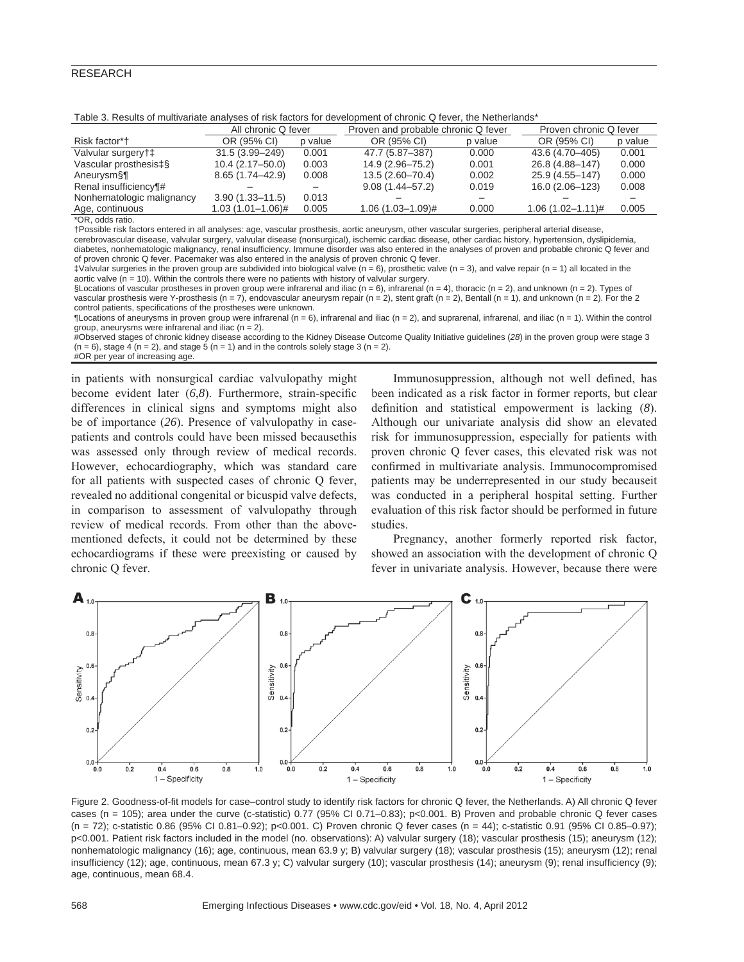|                           | All chronic Q fever   |         | Proven and probable chronic Q fever |         | Proven chronic Q fever |         |
|---------------------------|-----------------------|---------|-------------------------------------|---------|------------------------|---------|
| Risk factor*†             | OR (95% CI)           | p value | OR (95% CI)                         | p value | OR (95% CI)            | p value |
| Valvular surgery†‡        | 31.5 (3.99-249)       | 0.001   | 47.7 (5.87-387)                     | 0.000   | 43.6 (4.70-405)        | 0.001   |
| Vascular prosthesis‡§     | $10.4(2.17-50.0)$     | 0.003   | 14.9 (2.96-75.2)                    | 0.001   | 26.8 (4.88-147)        | 0.000   |
| Aneurysm§¶                | $8.65(1.74 - 42.9)$   | 0.008   | $13.5(2.60 - 70.4)$                 | 0.002   | 25.9 (4.55-147)        | 0.000   |
| Renal insufficiency¶#     |                       |         | $9.08(1.44 - 57.2)$                 | 0.019   | 16.0 (2.06-123)        | 0.008   |
| Nonhematologic malignancy | $3.90(1.33 - 11.5)$   | 0.013   |                                     |         |                        |         |
| Age, continuous           | $1.03(1.01 - 1.06)$ # | 0.005   | $1.06(1.03 - 1.09)$ #               | 0.000   | $1.06(1.02 - 1.11)$ #  | 0.005   |
| $*$ OD adde ratio         |                       |         |                                     |         |                        |         |

\*OR, odds ratio.

†Possible risk factors entered in all analyses: age, vascular prosthesis, aortic aneurysm, other vascular surgeries, peripheral arterial disease,

cerebrovascular disease, valvular surgery, valvular disease (nonsurgical), ischemic cardiac disease, other cardiac history, hypertension, dyslipidemia, diabetes, nonhematologic malignancy, renal insufficiency. Immune disorder was also entered in the analyses of proven and probable chronic Q fever and of proven chronic Q fever. Pacemaker was also entered in the analysis of proven chronic Q fever.

 $\ddagger$ Valvular surgeries in the proven group are subdivided into biological valve (n = 6), prosthetic valve (n = 3), and valve repair (n = 1) all located in the aortic valve ( $n = 10$ ). Within the controls there were no patients with history of valvular surgery.

§Locations of vascular prostheses in proven group were infrarenal and iliac (n = 6), infrarenal (n = 4), thoracic (n = 2), and unknown (n = 2). Types of vascular prosthesis were Y-prosthesis (n = 7), endovascular aneurysm repair (n = 2), stent graft (n = 2), Bentall (n = 1), and unknown (n = 2). For the 2 control patients, specifications of the prostheses were unknown.

TLocations of aneurysms in proven group were infrarenal (n = 6), infrarenal and iliac (n = 2), and suprarenal, infrarenal, and iliac (n = 1). Within the control group, aneurysms were infrarenal and iliac (n = 2).

#Observed stages of chronic kidney disease according to the Kidney Disease Outcome Quality Initiative guidelines (*28*) in the proven group were stage 3  $(n = 6)$ , stage 4  $(n = 2)$ , and stage 5  $(n = 1)$  and in the controls solely stage 3  $(n = 2)$ .

#OR per year of increasing age.

in patients with nonsurgical cardiac valvulopathy might become evident later (6,8). Furthermore, strain-specific differences in clinical signs and symptoms might also be of importance (*26*). Presence of valvulopathy in casepatients and controls could have been missed becausethis was assessed only through review of medical records. However, echocardiography, which was standard care for all patients with suspected cases of chronic Q fever, revealed no additional congenital or bicuspid valve defects, in comparison to assessment of valvulopathy through review of medical records. From other than the abovementioned defects, it could not be determined by these echocardiograms if these were preexisting or caused by chronic Q fever.

Immunosuppression, although not well defined, has been indicated as a risk factor in former reports, but clear definition and statistical empowerment is lacking (8). Although our univariate analysis did show an elevated risk for immunosuppression, especially for patients with proven chronic Q fever cases, this elevated risk was not confirmed in multivariate analysis. Immunocompromised patients may be underrepresented in our study becauseit was conducted in a peripheral hospital setting. Further evaluation of this risk factor should be performed in future studies.

Pregnancy, another formerly reported risk factor, showed an association with the development of chronic Q fever in univariate analysis. However, because there were



Figure 2. Goodness-of-fit models for case-control study to identify risk factors for chronic Q fever, the Netherlands. A) All chronic Q fever cases (n = 105); area under the curve (c-statistic) 0.77 (95% CI 0.71–0.83); p<0.001. B) Proven and probable chronic Q fever cases (n = 72); c-statistic 0.86 (95% CI 0.81–0.92); p<0.001. C) Proven chronic Q fever cases (n = 44); c-statistic 0.91 (95% CI 0.85–0.97); p<0.001. Patient risk factors included in the model (no. observations): A) valvular surgery (18); vascular prosthesis (15); aneurysm (12); nonhematologic malignancy (16); age, continuous, mean 63.9 y; B) valvular surgery (18); vascular prosthesis (15); aneurysm (12); renal insufficiency (12); age, continuous, mean 67.3 y; C) valvular surgery (10); vascular prosthesis (14); aneurysm (9); renal insufficiency (9); age, continuous, mean 68.4.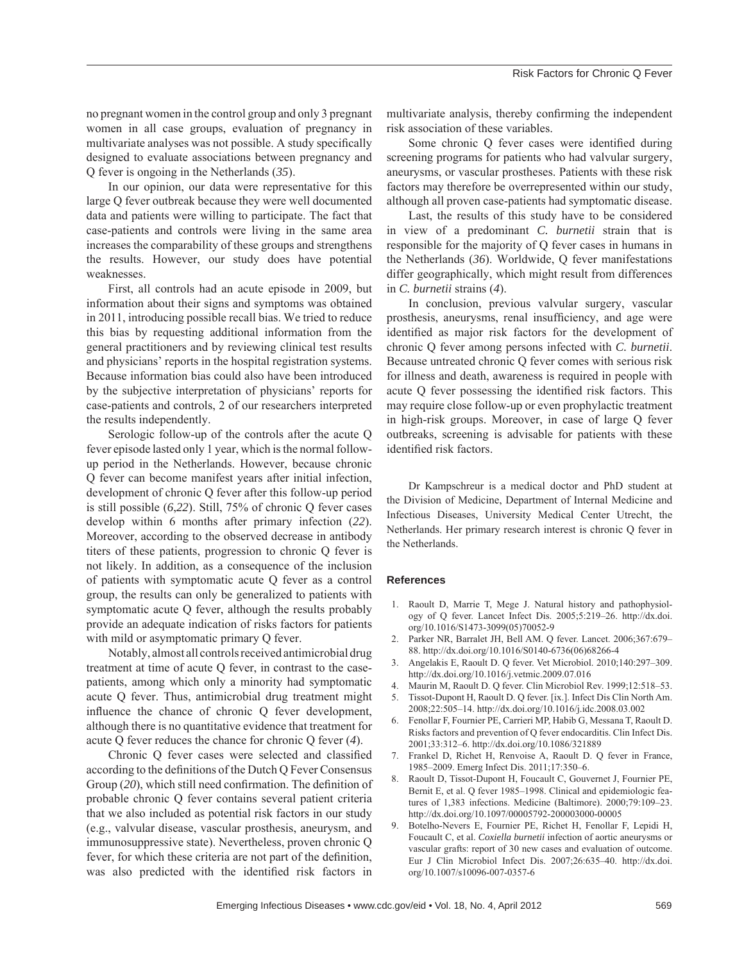no pregnant women in the control group and only 3 pregnant women in all case groups, evaluation of pregnancy in multivariate analyses was not possible. A study specifically designed to evaluate associations between pregnancy and Q fever is ongoing in the Netherlands (*35*).

In our opinion, our data were representative for this large Q fever outbreak because they were well documented data and patients were willing to participate. The fact that case-patients and controls were living in the same area increases the comparability of these groups and strengthens the results. However, our study does have potential weaknesses.

First, all controls had an acute episode in 2009, but information about their signs and symptoms was obtained in 2011, introducing possible recall bias. We tried to reduce this bias by requesting additional information from the general practitioners and by reviewing clinical test results and physicians' reports in the hospital registration systems. Because information bias could also have been introduced by the subjective interpretation of physicians' reports for case-patients and controls, 2 of our researchers interpreted the results independently.

Serologic follow-up of the controls after the acute Q fever episode lasted only 1 year, which is the normal followup period in the Netherlands. However, because chronic Q fever can become manifest years after initial infection, development of chronic Q fever after this follow-up period is still possible (*6*,*22*). Still, 75% of chronic Q fever cases develop within 6 months after primary infection (*22*). Moreover, according to the observed decrease in antibody titers of these patients, progression to chronic Q fever is not likely. In addition, as a consequence of the inclusion of patients with symptomatic acute Q fever as a control group, the results can only be generalized to patients with symptomatic acute Q fever, although the results probably provide an adequate indication of risks factors for patients with mild or asymptomatic primary Q fever.

Notably, almost all controls received antimicrobial drug treatment at time of acute Q fever, in contrast to the casepatients, among which only a minority had symptomatic acute Q fever. Thus, antimicrobial drug treatment might influence the chance of chronic Q fever development, although there is no quantitative evidence that treatment for acute Q fever reduces the chance for chronic Q fever (*4*).

Chronic Q fever cases were selected and classified according to the definitions of the Dutch Q Fever Consensus Group (20), which still need confirmation. The definition of probable chronic Q fever contains several patient criteria that we also included as potential risk factors in our study (e.g., valvular disease, vascular prosthesis, aneurysm, and immunosuppressive state). Nevertheless, proven chronic Q fever, for which these criteria are not part of the definition, was also predicted with the identified risk factors in

multivariate analysis, thereby confirming the independent risk association of these variables.

Some chronic Q fever cases were identified during screening programs for patients who had valvular surgery, aneurysms, or vascular prostheses. Patients with these risk factors may therefore be overrepresented within our study, although all proven case-patients had symptomatic disease.

Last, the results of this study have to be considered in view of a predominant *C. burnetii* strain that is responsible for the majority of Q fever cases in humans in the Netherlands (*36*). Worldwide, Q fever manifestations differ geographically, which might result from differences in *C. burnetii* strains (*4*).

In conclusion, previous valvular surgery, vascular prosthesis, aneurysms, renal insufficiency, and age were identified as major risk factors for the development of chronic Q fever among persons infected with *C. burnetii*. Because untreated chronic Q fever comes with serious risk for illness and death, awareness is required in people with acute Q fever possessing the identified risk factors. This may require close follow-up or even prophylactic treatment in high-risk groups. Moreover, in case of large Q fever outbreaks, screening is advisable for patients with these identified risk factors.

Dr Kampschreur is a medical doctor and PhD student at the Division of Medicine, Department of Internal Medicine and Infectious Diseases, University Medical Center Utrecht, the Netherlands. Her primary research interest is chronic Q fever in the Netherlands.

#### **References**

- 1. Raoult D, Marrie T, Mege J. Natural history and pathophysiology of Q fever. Lancet Infect Dis. 2005;5:219–26. http://dx.doi. org/10.1016/S1473-3099(05)70052-9
- 2. Parker NR, Barralet JH, Bell AM. Q fever. Lancet. 2006;367:679– 88. http://dx.doi.org/10.1016/S0140-6736(06)68266-4
- 3. Angelakis E, Raoult D. Q fever. Vet Microbiol. 2010;140:297–309. http://dx.doi.org/10.1016/j.vetmic.2009.07.016
- 4. Maurin M, Raoult D. Q fever. Clin Microbiol Rev. 1999;12:518–53.
- 5. Tissot-Dupont H, Raoult D. Q fever. [ix.]. Infect Dis Clin North Am. 2008;22:505–14. http://dx.doi.org/10.1016/j.idc.2008.03.002
- 6. Fenollar F, Fournier PE, Carrieri MP, Habib G, Messana T, Raoult D. Risks factors and prevention of Q fever endocarditis. Clin Infect Dis. 2001;33:312–6. http://dx.doi.org/10.1086/321889
- 7. Frankel D, Richet H, Renvoise A, Raoult D. Q fever in France, 1985–2009. Emerg Infect Dis. 2011;17:350–6.
- 8. Raoult D, Tissot-Dupont H, Foucault C, Gouvernet J, Fournier PE, Bernit E, et al. Q fever 1985–1998. Clinical and epidemiologic features of 1,383 infections. Medicine (Baltimore). 2000;79:109–23. http://dx.doi.org/10.1097/00005792-200003000-00005
- 9. Botelho-Nevers E, Fournier PE, Richet H, Fenollar F, Lepidi H, Foucault C, et al. *Coxiella burnetii* infection of aortic aneurysms or vascular grafts: report of 30 new cases and evaluation of outcome. Eur J Clin Microbiol Infect Dis. 2007;26:635–40. http://dx.doi. org/10.1007/s10096-007-0357-6